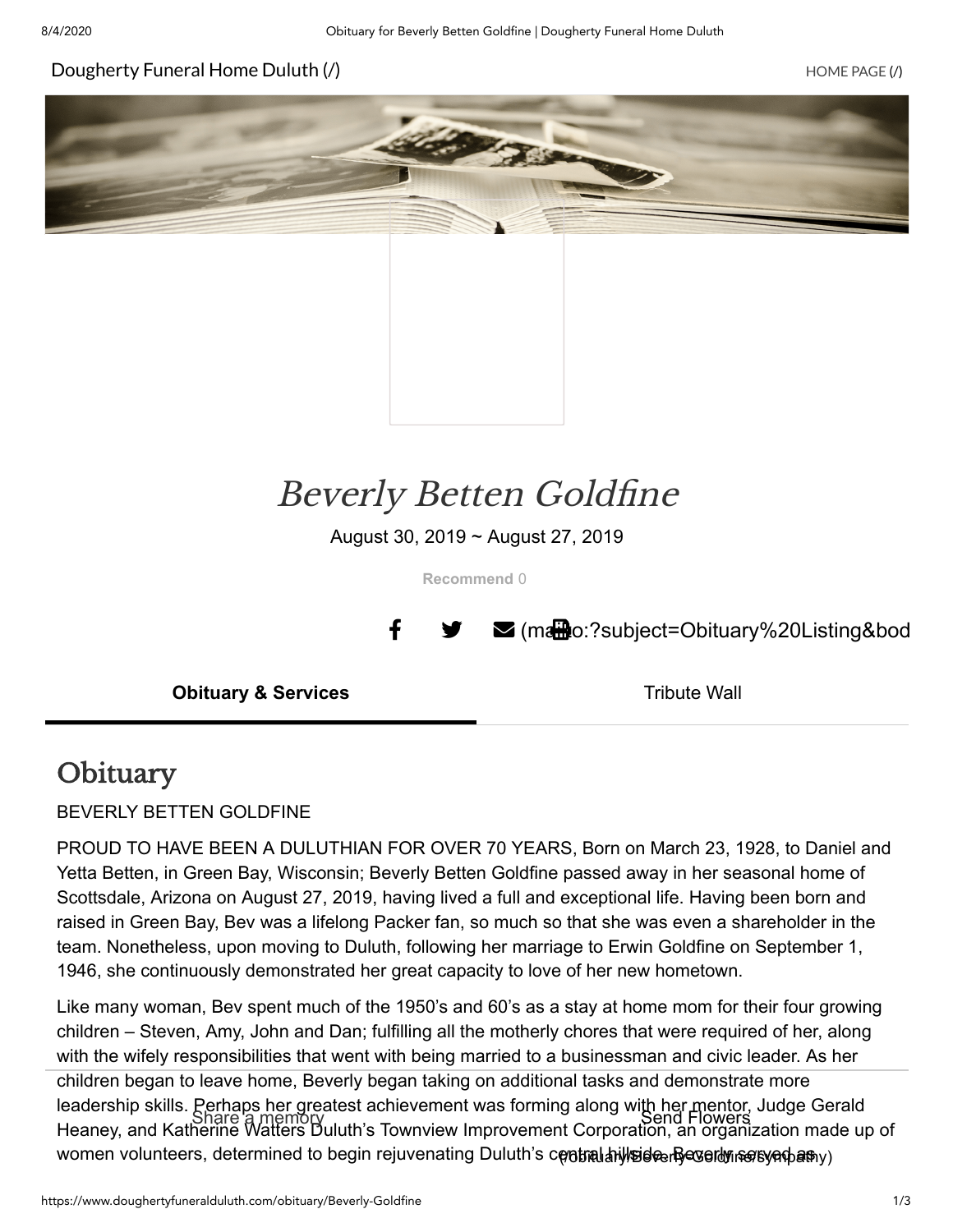#### [Dougherty](https://www.doughertyfuneralduluth.com/) Funeral Home Duluth (/) https://www.accommunity.com/intervalue.com/intervalue.com/intervalue.com/interv





# Beverly Betten Goldfine

August 30, 2019 ~ August 27, 2019

**Recommend** 0

 $\parallel$   $\blacktriangleright$   $\blacktriangleright$  (matther)?subject=Obituary%20Listing&bod

**Obituary & Services** Tribute Wall

### **Obituary**

BEVERLY BETTEN GOLDFINE

PROUD TO HAVE BEEN A DULUTHIAN FOR OVER 70 YEARS, Born on March 23, 1928, to Daniel and Yetta Betten, in Green Bay, Wisconsin; Beverly Betten Goldfine passed away in her seasonal home of Scottsdale, Arizona on August 27, 2019, having lived a full and exceptional life. Having been born and raised in Green Bay, Bev was a lifelong Packer fan, so much so that she was even a shareholder in the team. Nonetheless, upon moving to Duluth, following her marriage to Erwin Goldfine on September 1, 1946, she continuously demonstrated her great capacity to love of her new hometown.

Like many woman, Bev spent much of the 1950's and 60's as a stay at home mom for their four growing children – Steven, Amy, John and Dan; fulfilling all the motherly chores that were required of her, along with the wifely responsibilities that went with being married to a businessman and civic leader. As her children began to leave home, Beverly began taking on additional tasks and demonstrate more leadership skills. Perhaps her greatest achievement was forming along with her mentor, Judge Gerald reaseremp enmer Share a memory<br>Heaney, and Katherine Watters Duluth's Townview Improvement Corporation, an organization made up of women volunteers, determined to begin rejuvenating Duluth's central hillside. Beverly served as [\(/obituary/Beverly-Goldfine/sympathy\)](https://www.doughertyfuneralduluth.com/obituary/Beverly-Goldfine/sympathy)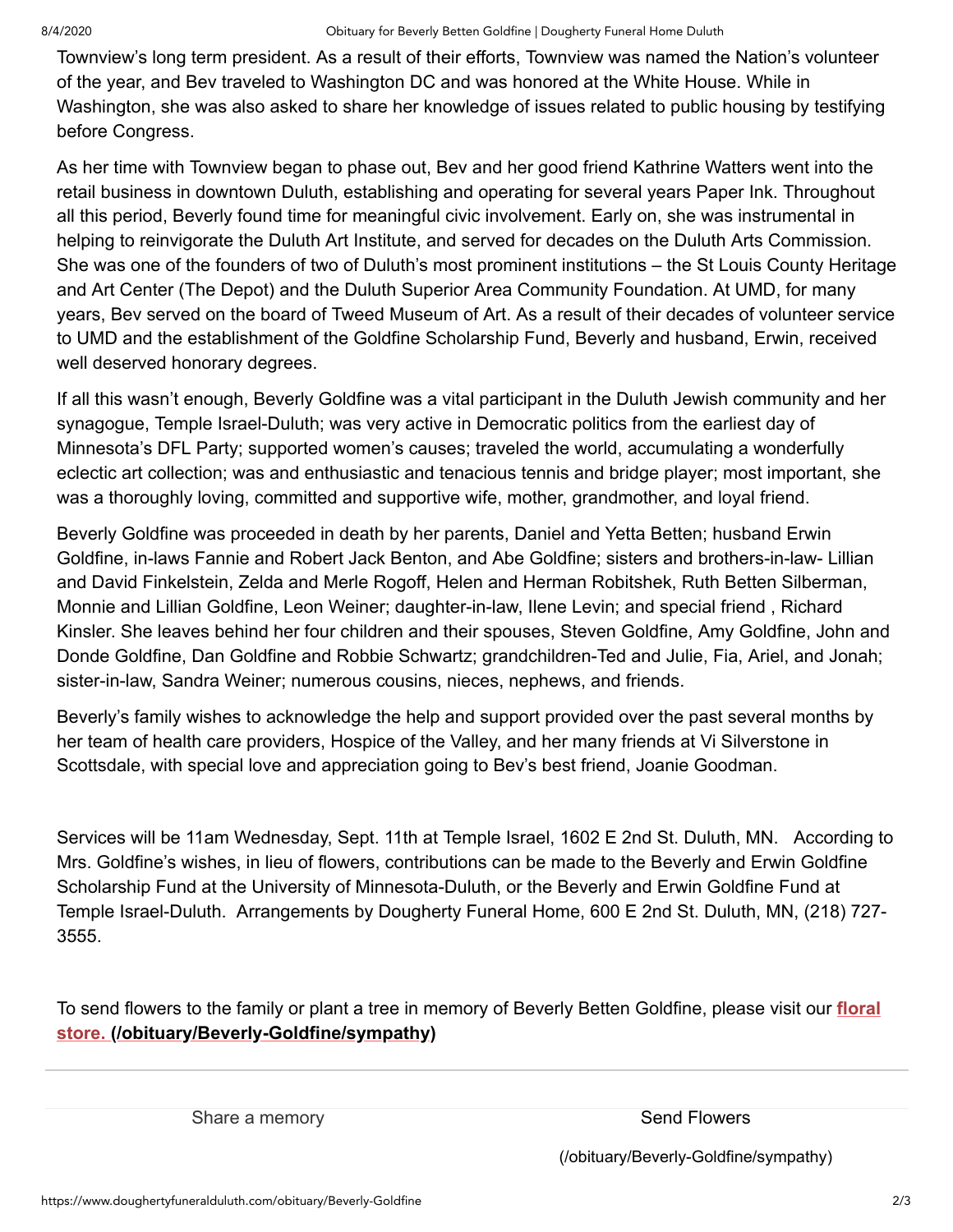Townview's long term president. As a result of their efforts, Townview was named the Nation's volunteer of the year, and Bev traveled to Washington DC and was honored at the White House. While in Washington, she was also asked to share her knowledge of issues related to public housing by testifying before Congress.

As her time with Townview began to phase out, Bev and her good friend Kathrine Watters went into the retail business in downtown Duluth, establishing and operating for several years Paper Ink. Throughout all this period, Beverly found time for meaningful civic involvement. Early on, she was instrumental in helping to reinvigorate the Duluth Art Institute, and served for decades on the Duluth Arts Commission. She was one of the founders of two of Duluth's most prominent institutions – the St Louis County Heritage and Art Center (The Depot) and the Duluth Superior Area Community Foundation. At UMD, for many years, Bev served on the board of Tweed Museum of Art. As a result of their decades of volunteer service to UMD and the establishment of the Goldfine Scholarship Fund, Beverly and husband, Erwin, received well deserved honorary degrees.

If all this wasn't enough, Beverly Goldfine was a vital participant in the Duluth Jewish community and her synagogue, Temple Israel-Duluth; was very active in Democratic politics from the earliest day of Minnesota's DFL Party; supported women's causes; traveled the world, accumulating a wonderfully eclectic art collection; was and enthusiastic and tenacious tennis and bridge player; most important, she was a thoroughly loving, committed and supportive wife, mother, grandmother, and loyal friend.

Beverly Goldfine was proceeded in death by her parents, Daniel and Yetta Betten; husband Erwin Goldfine, in-laws Fannie and Robert Jack Benton, and Abe Goldfine; sisters and brothers-in-law- Lillian and David Finkelstein, Zelda and Merle Rogoff, Helen and Herman Robitshek, Ruth Betten Silberman, Monnie and Lillian Goldfine, Leon Weiner; daughter-in-law, Ilene Levin; and special friend , Richard Kinsler. She leaves behind her four children and their spouses, Steven Goldfine, Amy Goldfine, John and Donde Goldfine, Dan Goldfine and Robbie Schwartz; grandchildren-Ted and Julie, Fia, Ariel, and Jonah; sister-in-law, Sandra Weiner; numerous cousins, nieces, nephews, and friends.

Beverly's family wishes to acknowledge the help and support provided over the past several months by her team of health care providers, Hospice of the Valley, and her many friends at Vi Silverstone in Scottsdale, with special love and appreciation going to Bev's best friend, Joanie Goodman.

Services will be 11am Wednesday, Sept. 11th at Temple Israel, 1602 E 2nd St. Duluth, MN. According to Mrs. Goldfine's wishes, in lieu of flowers, contributions can be made to the Beverly and Erwin Goldfine Scholarship Fund at the University of Minnesota-Duluth, or the Beverly and Erwin Goldfine Fund at Temple Israel-Duluth. Arrangements by Dougherty Funeral Home, 600 E 2nd St. Duluth, MN, (218) 727- 3555.

To send flowers to the family or plant a tree in memory of Beverly Betten Goldfine, please visit our **floral store. [\(/obituary/Beverly-Goldfine/sympathy\)](https://www.doughertyfuneralduluth.com/obituary/Beverly-Goldfine/sympathy)**

Share a memory state of the Send Flowers Send Flowers

[\(/obituary/Beverly-Goldfine/sympathy\)](https://www.doughertyfuneralduluth.com/obituary/Beverly-Goldfine/sympathy)